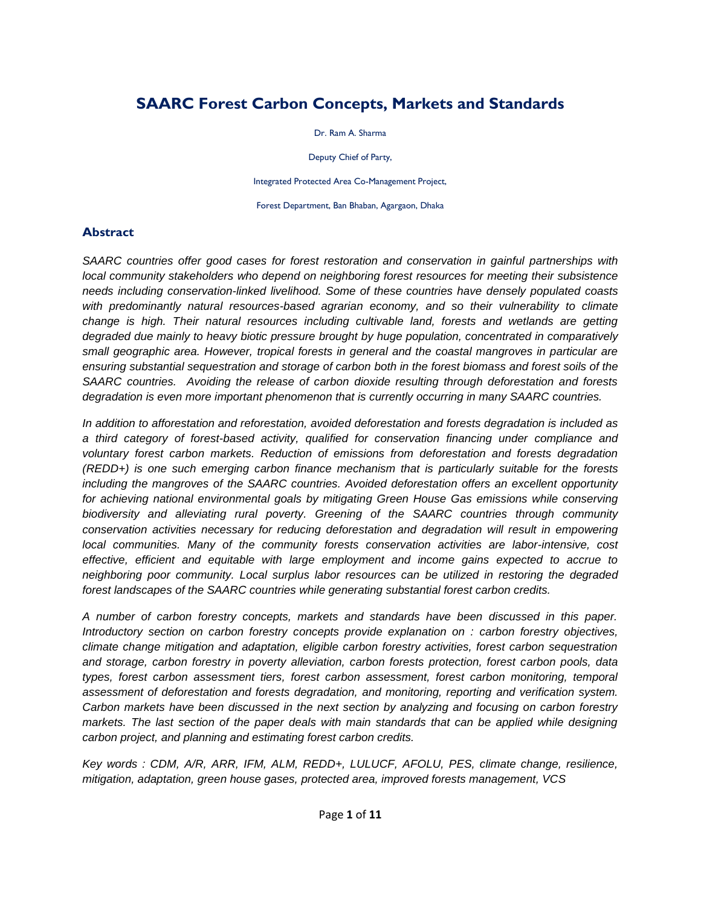# **SAARC Forest Carbon Concepts, Markets and Standards**

Dr. Ram A. Sharma

Deputy Chief of Party,

Integrated Protected Area Co-Management Project,

Forest Department, Ban Bhaban, Agargaon, Dhaka

#### **Abstract**

*SAARC countries offer good cases for forest restoration and conservation in gainful partnerships with local community stakeholders who depend on neighboring forest resources for meeting their subsistence needs including conservation-linked livelihood. Some of these countries have densely populated coasts with predominantly natural resources-based agrarian economy, and so their vulnerability to climate change is high. Their natural resources including cultivable land, forests and wetlands are getting degraded due mainly to heavy biotic pressure brought by huge population, concentrated in comparatively small geographic area. However, tropical forests in general and the coastal mangroves in particular are ensuring substantial sequestration and storage of carbon both in the forest biomass and forest soils of the SAARC countries. Avoiding the release of carbon dioxide resulting through deforestation and forests degradation is even more important phenomenon that is currently occurring in many SAARC countries.* 

*In addition to afforestation and reforestation, avoided deforestation and forests degradation is included as a third category of forest-based activity, qualified for conservation financing under compliance and voluntary forest carbon markets. Reduction of emissions from deforestation and forests degradation (REDD+) is one such emerging carbon finance mechanism that is particularly suitable for the forests including the mangroves of the SAARC countries. Avoided deforestation offers an excellent opportunity for achieving national environmental goals by mitigating Green House Gas emissions while conserving biodiversity and alleviating rural poverty. Greening of the SAARC countries through community conservation activities necessary for reducing deforestation and degradation will result in empowering local communities. Many of the community forests conservation activities are labor-intensive, cost effective, efficient and equitable with large employment and income gains expected to accrue to neighboring poor community. Local surplus labor resources can be utilized in restoring the degraded forest landscapes of the SAARC countries while generating substantial forest carbon credits.* 

*A number of carbon forestry concepts, markets and standards have been discussed in this paper. Introductory section on carbon forestry concepts provide explanation on : carbon forestry objectives, climate change mitigation and adaptation, eligible carbon forestry activities, forest carbon sequestration and storage, carbon forestry in poverty alleviation, carbon forests protection, forest carbon pools, data types, forest carbon assessment tiers, forest carbon assessment, forest carbon monitoring, temporal assessment of deforestation and forests degradation, and monitoring, reporting and verification system. Carbon markets have been discussed in the next section by analyzing and focusing on carbon forestry markets. The last section of the paper deals with main standards that can be applied while designing carbon project, and planning and estimating forest carbon credits.* 

*Key words : CDM, A/R, ARR, IFM, ALM, REDD+, LULUCF, AFOLU, PES, climate change, resilience, mitigation, adaptation, green house gases, protected area, improved forests management, VCS*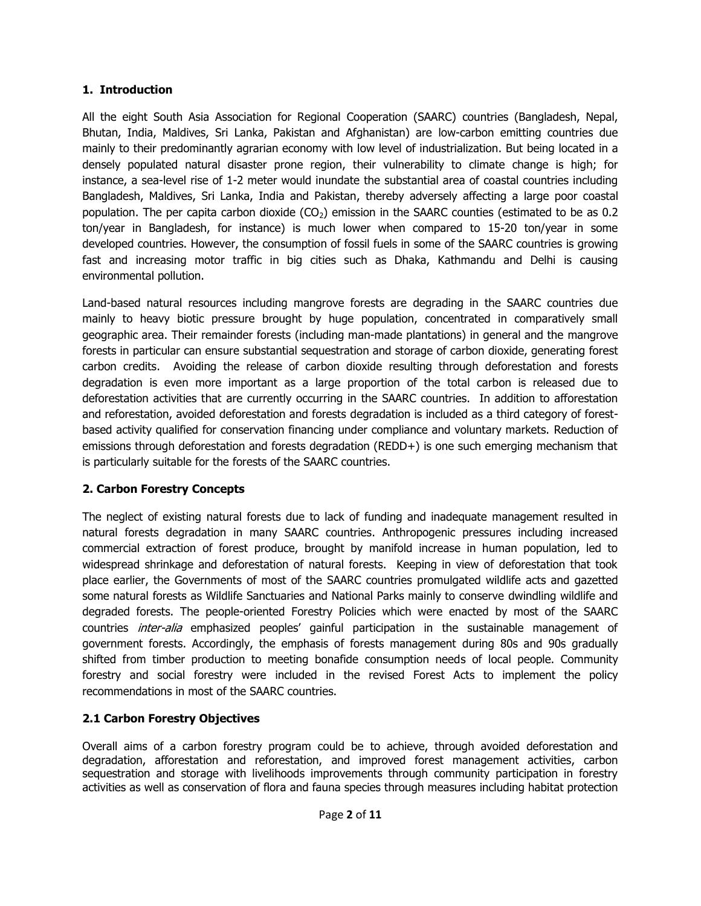### **1. Introduction**

All the eight South Asia Association for Regional Cooperation (SAARC) countries (Bangladesh, Nepal, Bhutan, India, Maldives, Sri Lanka, Pakistan and Afghanistan) are low-carbon emitting countries due mainly to their predominantly agrarian economy with low level of industrialization. But being located in a densely populated natural disaster prone region, their vulnerability to climate change is high; for instance, a sea-level rise of 1-2 meter would inundate the substantial area of coastal countries including Bangladesh, Maldives, Sri Lanka, India and Pakistan, thereby adversely affecting a large poor coastal population. The per capita carbon dioxide  $(CO<sub>2</sub>)$  emission in the SAARC counties (estimated to be as 0.2 ton/year in Bangladesh, for instance) is much lower when compared to 15-20 ton/year in some developed countries. However, the consumption of fossil fuels in some of the SAARC countries is growing fast and increasing motor traffic in big cities such as Dhaka, Kathmandu and Delhi is causing environmental pollution.

Land-based natural resources including mangrove forests are degrading in the SAARC countries due mainly to heavy biotic pressure brought by huge population, concentrated in comparatively small geographic area. Their remainder forests (including man-made plantations) in general and the mangrove forests in particular can ensure substantial sequestration and storage of carbon dioxide, generating forest carbon credits. Avoiding the release of carbon dioxide resulting through deforestation and forests degradation is even more important as a large proportion of the total carbon is released due to deforestation activities that are currently occurring in the SAARC countries. In addition to afforestation and reforestation, avoided deforestation and forests degradation is included as a third category of forestbased activity qualified for conservation financing under compliance and voluntary markets. Reduction of emissions through deforestation and forests degradation (REDD+) is one such emerging mechanism that is particularly suitable for the forests of the SAARC countries.

## **2. Carbon Forestry Concepts**

The neglect of existing natural forests due to lack of funding and inadequate management resulted in natural forests degradation in many SAARC countries. Anthropogenic pressures including increased commercial extraction of forest produce, brought by manifold increase in human population, led to widespread shrinkage and deforestation of natural forests. Keeping in view of deforestation that took place earlier, the Governments of most of the SAARC countries promulgated wildlife acts and gazetted some natural forests as Wildlife Sanctuaries and National Parks mainly to conserve dwindling wildlife and degraded forests. The people-oriented Forestry Policies which were enacted by most of the SAARC countries *inter-alia* emphasized peoples' gainful participation in the sustainable management of government forests. Accordingly, the emphasis of forests management during 80s and 90s gradually shifted from timber production to meeting bonafide consumption needs of local people. Community forestry and social forestry were included in the revised Forest Acts to implement the policy recommendations in most of the SAARC countries.

## **2.1 Carbon Forestry Objectives**

Overall aims of a carbon forestry program could be to achieve, through avoided deforestation and degradation, afforestation and reforestation, and improved forest management activities, carbon sequestration and storage with livelihoods improvements through community participation in forestry activities as well as conservation of flora and fauna species through measures including habitat protection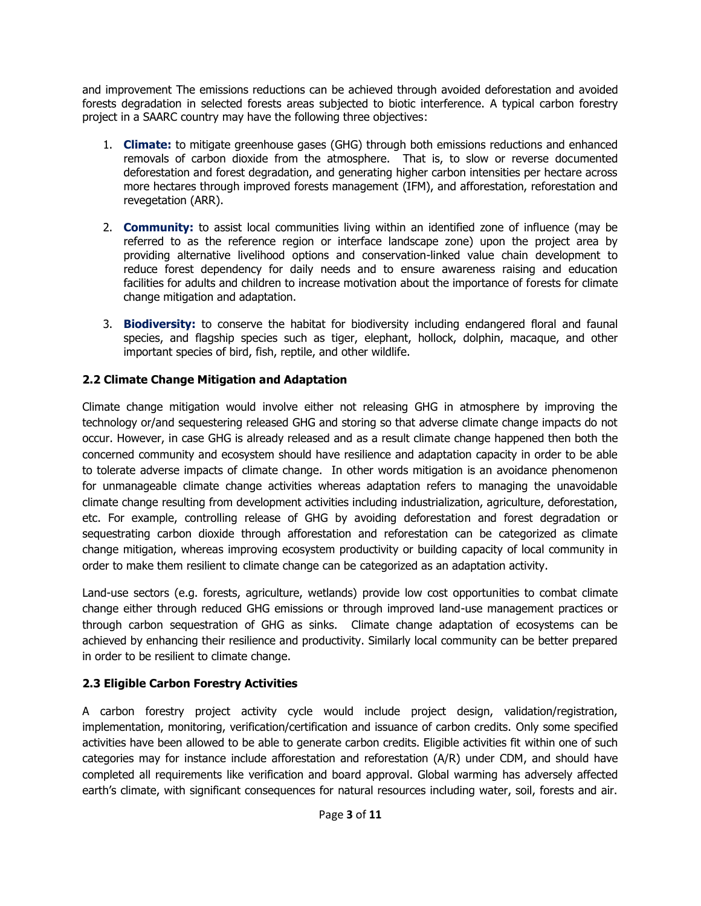and improvement The emissions reductions can be achieved through avoided deforestation and avoided forests degradation in selected forests areas subjected to biotic interference. A typical carbon forestry project in a SAARC country may have the following three objectives:

- 1. **Climate:** to mitigate greenhouse gases (GHG) through both emissions reductions and enhanced removals of carbon dioxide from the atmosphere. That is, to slow or reverse documented deforestation and forest degradation, and generating higher carbon intensities per hectare across more hectares through improved forests management (IFM), and afforestation, reforestation and revegetation (ARR).
- 2. **Community:** to assist local communities living within an identified zone of influence (may be referred to as the reference region or interface landscape zone) upon the project area by providing alternative livelihood options and conservation-linked value chain development to reduce forest dependency for daily needs and to ensure awareness raising and education facilities for adults and children to increase motivation about the importance of forests for climate change mitigation and adaptation.
- 3. **Biodiversity:** to conserve the habitat for biodiversity including endangered floral and faunal species, and flagship species such as tiger, elephant, hollock, dolphin, macaque, and other important species of bird, fish, reptile, and other wildlife.

### **2.2 Climate Change Mitigation and Adaptation**

Climate change mitigation would involve either not releasing GHG in atmosphere by improving the technology or/and sequestering released GHG and storing so that adverse climate change impacts do not occur. However, in case GHG is already released and as a result climate change happened then both the concerned community and ecosystem should have resilience and adaptation capacity in order to be able to tolerate adverse impacts of climate change. In other words mitigation is an avoidance phenomenon for unmanageable climate change activities whereas adaptation refers to managing the unavoidable climate change resulting from development activities including industrialization, agriculture, deforestation, etc. For example, controlling release of GHG by avoiding deforestation and forest degradation or sequestrating carbon dioxide through afforestation and reforestation can be categorized as climate change mitigation, whereas improving ecosystem productivity or building capacity of local community in order to make them resilient to climate change can be categorized as an adaptation activity.

Land-use sectors (e.g. forests, agriculture, wetlands) provide low cost opportunities to combat climate change either through reduced GHG emissions or through improved land-use management practices or through carbon sequestration of GHG as sinks. Climate change adaptation of ecosystems can be achieved by enhancing their resilience and productivity. Similarly local community can be better prepared in order to be resilient to climate change.

## **2.3 Eligible Carbon Forestry Activities**

A carbon forestry project activity cycle would include project design, validation/registration, implementation, monitoring, verification/certification and issuance of carbon credits. Only some specified activities have been allowed to be able to generate carbon credits. Eligible activities fit within one of such categories may for instance include afforestation and reforestation (A/R) under CDM, and should have completed all requirements like verification and board approval. Global warming has adversely affected earth's climate, with significant consequences for natural resources including water, soil, forests and air.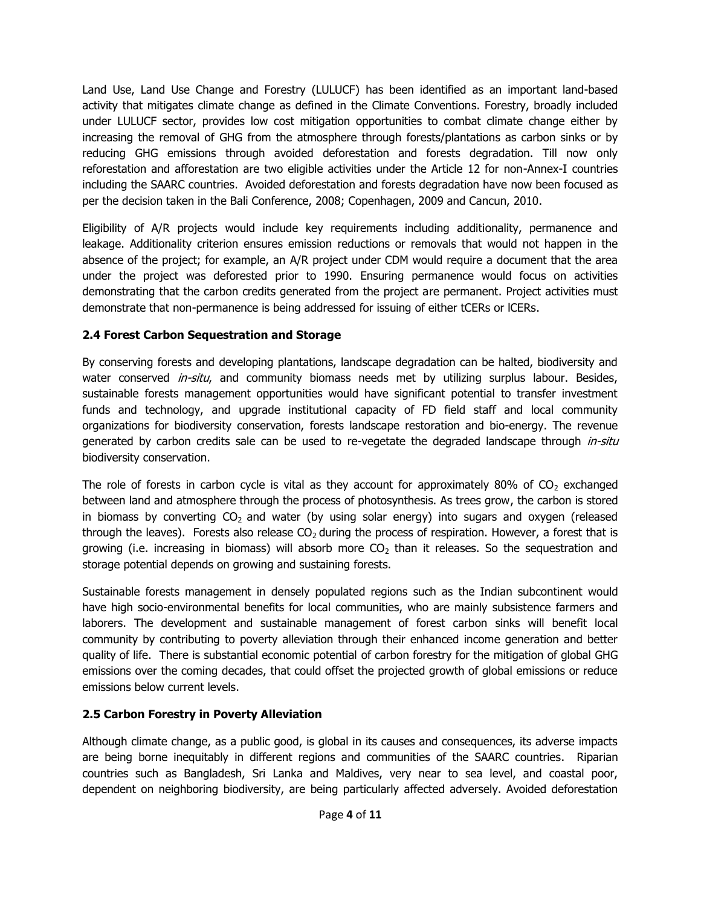Land Use, Land Use Change and Forestry (LULUCF) has been identified as an important land-based activity that mitigates climate change as defined in the Climate Conventions. Forestry, broadly included under LULUCF sector, provides low cost mitigation opportunities to combat climate change either by increasing the removal of GHG from the atmosphere through forests/plantations as carbon sinks or by reducing GHG emissions through avoided deforestation and forests degradation. Till now only reforestation and afforestation are two eligible activities under the Article 12 for non-Annex-I countries including the SAARC countries. Avoided deforestation and forests degradation have now been focused as per the decision taken in the Bali Conference, 2008; Copenhagen, 2009 and Cancun, 2010.

Eligibility of A/R projects would include key requirements including additionality, permanence and leakage. Additionality criterion ensures emission reductions or removals that would not happen in the absence of the project; for example, an A/R project under CDM would require a document that the area under the project was deforested prior to 1990. Ensuring permanence would focus on activities demonstrating that the carbon credits generated from the project are permanent. Project activities must demonstrate that non-permanence is being addressed for issuing of either tCERs or lCERs.

## **2.4 Forest Carbon Sequestration and Storage**

By conserving forests and developing plantations, landscape degradation can be halted, biodiversity and water conserved *in-situ*, and community biomass needs met by utilizing surplus labour. Besides, sustainable forests management opportunities would have significant potential to transfer investment funds and technology, and upgrade institutional capacity of FD field staff and local community organizations for biodiversity conservation, forests landscape restoration and bio-energy. The revenue generated by carbon credits sale can be used to re-vegetate the degraded landscape through *in-situ* biodiversity conservation.

The role of forests in carbon cycle is vital as they account for approximately 80% of  $CO<sub>2</sub>$  exchanged between land and atmosphere through the process of photosynthesis. As trees grow, the carbon is stored in biomass by converting  $CO<sub>2</sub>$  and water (by using solar energy) into sugars and oxygen (released through the leaves). Forests also release  $CO<sub>2</sub>$  during the process of respiration. However, a forest that is growing (i.e. increasing in biomass) will absorb more  $CO<sub>2</sub>$  than it releases. So the sequestration and storage potential depends on growing and sustaining forests.

Sustainable forests management in densely populated regions such as the Indian subcontinent would have high socio-environmental benefits for local communities, who are mainly subsistence farmers and laborers. The development and sustainable management of forest carbon sinks will benefit local community by contributing to poverty alleviation through their enhanced income generation and better quality of life. There is substantial economic potential of carbon forestry for the mitigation of global GHG emissions over the coming decades, that could offset the projected growth of global emissions or reduce emissions below current levels.

## **2.5 Carbon Forestry in Poverty Alleviation**

Although climate change, as a public good, is global in its causes and consequences, its adverse impacts are being borne inequitably in different regions and communities of the SAARC countries. Riparian countries such as Bangladesh, Sri Lanka and Maldives, very near to sea level, and coastal poor, dependent on neighboring biodiversity, are being particularly affected adversely. Avoided deforestation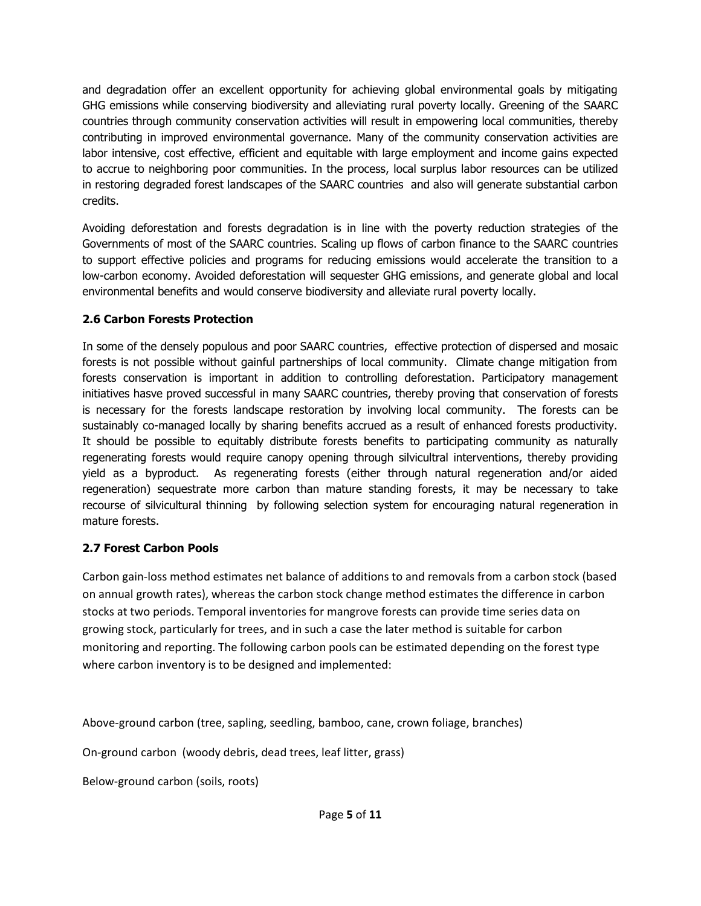and degradation offer an excellent opportunity for achieving global environmental goals by mitigating GHG emissions while conserving biodiversity and alleviating rural poverty locally. Greening of the SAARC countries through community conservation activities will result in empowering local communities, thereby contributing in improved environmental governance. Many of the community conservation activities are labor intensive, cost effective, efficient and equitable with large employment and income gains expected to accrue to neighboring poor communities. In the process, local surplus labor resources can be utilized in restoring degraded forest landscapes of the SAARC countries and also will generate substantial carbon credits.

Avoiding deforestation and forests degradation is in line with the poverty reduction strategies of the Governments of most of the SAARC countries. Scaling up flows of carbon finance to the SAARC countries to support effective policies and programs for reducing emissions would accelerate the transition to a low-carbon economy. Avoided deforestation will sequester GHG emissions, and generate global and local environmental benefits and would conserve biodiversity and alleviate rural poverty locally.

## **2.6 Carbon Forests Protection**

In some of the densely populous and poor SAARC countries, effective protection of dispersed and mosaic forests is not possible without gainful partnerships of local community. Climate change mitigation from forests conservation is important in addition to controlling deforestation. Participatory management initiatives hasve proved successful in many SAARC countries, thereby proving that conservation of forests is necessary for the forests landscape restoration by involving local community. The forests can be sustainably co-managed locally by sharing benefits accrued as a result of enhanced forests productivity. It should be possible to equitably distribute forests benefits to participating community as naturally regenerating forests would require canopy opening through silvicultral interventions, thereby providing yield as a byproduct. As regenerating forests (either through natural regeneration and/or aided regeneration) sequestrate more carbon than mature standing forests, it may be necessary to take recourse of silvicultural thinning by following selection system for encouraging natural regeneration in mature forests.

## **2.7 Forest Carbon Pools**

Carbon gain-loss method estimates net balance of additions to and removals from a carbon stock (based on annual growth rates), whereas the carbon stock change method estimates the difference in carbon stocks at two periods. Temporal inventories for mangrove forests can provide time series data on growing stock, particularly for trees, and in such a case the later method is suitable for carbon monitoring and reporting. The following carbon pools can be estimated depending on the forest type where carbon inventory is to be designed and implemented:

Above-ground carbon (tree, sapling, seedling, bamboo, cane, crown foliage, branches)

On-ground carbon (woody debris, dead trees, leaf litter, grass)

Below-ground carbon (soils, roots)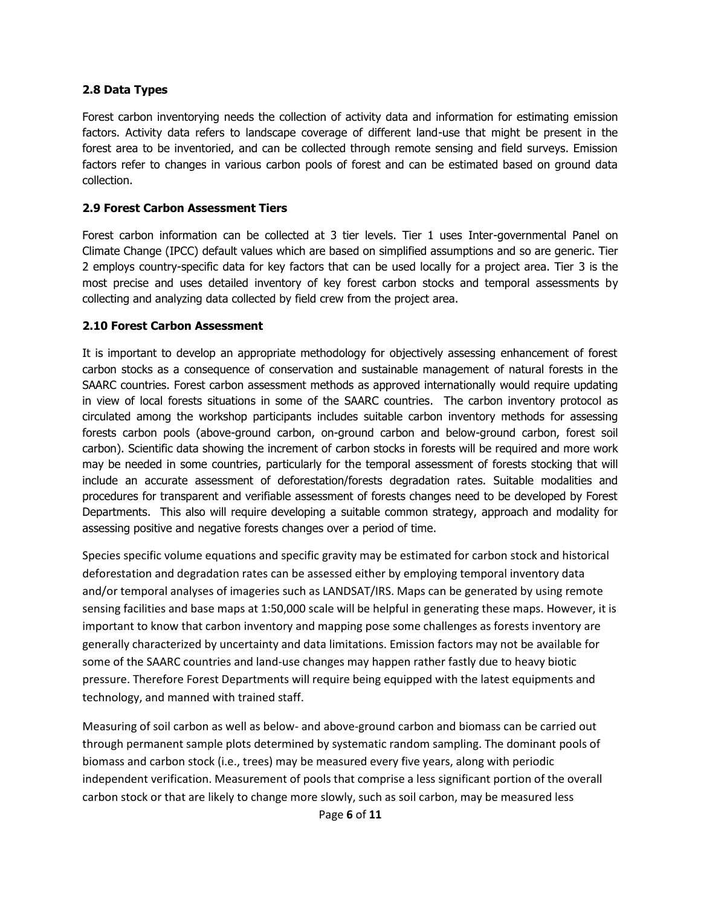#### **2.8 Data Types**

Forest carbon inventorying needs the collection of activity data and information for estimating emission factors. Activity data refers to landscape coverage of different land-use that might be present in the forest area to be inventoried, and can be collected through remote sensing and field surveys. Emission factors refer to changes in various carbon pools of forest and can be estimated based on ground data collection.

#### **2.9 Forest Carbon Assessment Tiers**

Forest carbon information can be collected at 3 tier levels. Tier 1 uses Inter-governmental Panel on Climate Change (IPCC) default values which are based on simplified assumptions and so are generic. Tier 2 employs country-specific data for key factors that can be used locally for a project area. Tier 3 is the most precise and uses detailed inventory of key forest carbon stocks and temporal assessments by collecting and analyzing data collected by field crew from the project area.

#### **2.10 Forest Carbon Assessment**

It is important to develop an appropriate methodology for objectively assessing enhancement of forest carbon stocks as a consequence of conservation and sustainable management of natural forests in the SAARC countries. Forest carbon assessment methods as approved internationally would require updating in view of local forests situations in some of the SAARC countries. The carbon inventory protocol as circulated among the workshop participants includes suitable carbon inventory methods for assessing forests carbon pools (above-ground carbon, on-ground carbon and below-ground carbon, forest soil carbon). Scientific data showing the increment of carbon stocks in forests will be required and more work may be needed in some countries, particularly for the temporal assessment of forests stocking that will include an accurate assessment of deforestation/forests degradation rates. Suitable modalities and procedures for transparent and verifiable assessment of forests changes need to be developed by Forest Departments. This also will require developing a suitable common strategy, approach and modality for assessing positive and negative forests changes over a period of time.

Species specific volume equations and specific gravity may be estimated for carbon stock and historical deforestation and degradation rates can be assessed either by employing temporal inventory data and/or temporal analyses of imageries such as LANDSAT/IRS. Maps can be generated by using remote sensing facilities and base maps at 1:50,000 scale will be helpful in generating these maps. However, it is important to know that carbon inventory and mapping pose some challenges as forests inventory are generally characterized by uncertainty and data limitations. Emission factors may not be available for some of the SAARC countries and land-use changes may happen rather fastly due to heavy biotic pressure. Therefore Forest Departments will require being equipped with the latest equipments and technology, and manned with trained staff.

Measuring of soil carbon as well as below- and above-ground carbon and biomass can be carried out through permanent sample plots determined by systematic random sampling. The dominant pools of biomass and carbon stock (i.e., trees) may be measured every five years, along with periodic independent verification. Measurement of pools that comprise a less significant portion of the overall carbon stock or that are likely to change more slowly, such as soil carbon, may be measured less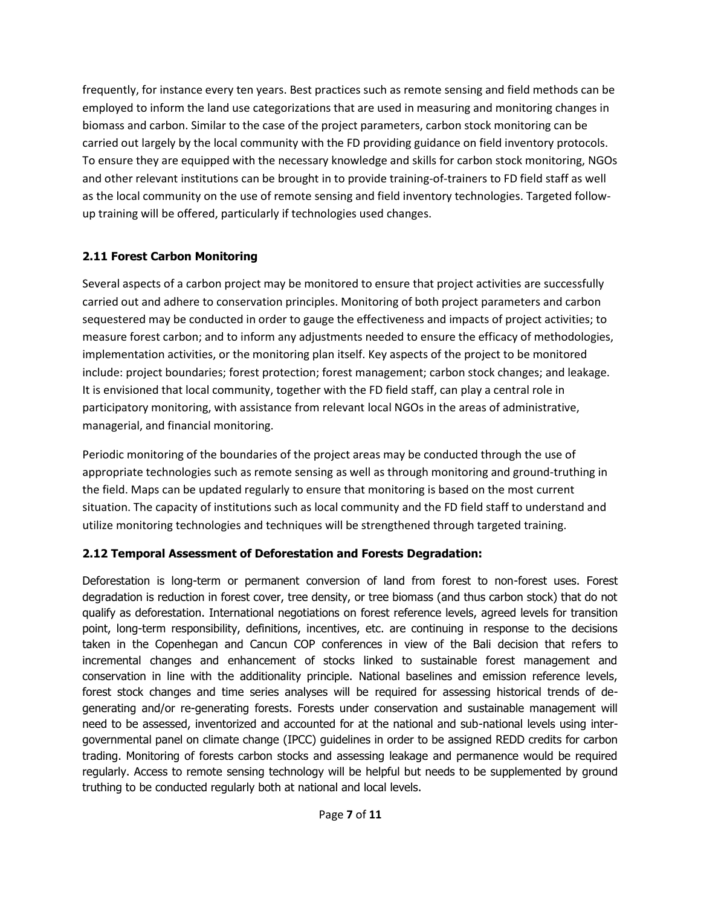frequently, for instance every ten years. Best practices such as remote sensing and field methods can be employed to inform the land use categorizations that are used in measuring and monitoring changes in biomass and carbon. Similar to the case of the project parameters, carbon stock monitoring can be carried out largely by the local community with the FD providing guidance on field inventory protocols. To ensure they are equipped with the necessary knowledge and skills for carbon stock monitoring, NGOs and other relevant institutions can be brought in to provide training-of-trainers to FD field staff as well as the local community on the use of remote sensing and field inventory technologies. Targeted followup training will be offered, particularly if technologies used changes.

## **2.11 Forest Carbon Monitoring**

Several aspects of a carbon project may be monitored to ensure that project activities are successfully carried out and adhere to conservation principles. Monitoring of both project parameters and carbon sequestered may be conducted in order to gauge the effectiveness and impacts of project activities; to measure forest carbon; and to inform any adjustments needed to ensure the efficacy of methodologies, implementation activities, or the monitoring plan itself. Key aspects of the project to be monitored include: project boundaries; forest protection; forest management; carbon stock changes; and leakage. It is envisioned that local community, together with the FD field staff, can play a central role in participatory monitoring, with assistance from relevant local NGOs in the areas of administrative, managerial, and financial monitoring.

Periodic monitoring of the boundaries of the project areas may be conducted through the use of appropriate technologies such as remote sensing as well as through monitoring and ground-truthing in the field. Maps can be updated regularly to ensure that monitoring is based on the most current situation. The capacity of institutions such as local community and the FD field staff to understand and utilize monitoring technologies and techniques will be strengthened through targeted training.

## **2.12 Temporal Assessment of Deforestation and Forests Degradation:**

Deforestation is long-term or permanent conversion of land from forest to non-forest uses. Forest degradation is reduction in forest cover, tree density, or tree biomass (and thus carbon stock) that do not qualify as deforestation. International negotiations on forest reference levels, agreed levels for transition point, long-term responsibility, definitions, incentives, etc. are continuing in response to the decisions taken in the Copenhegan and Cancun COP conferences in view of the Bali decision that refers to incremental changes and enhancement of stocks linked to sustainable forest management and conservation in line with the additionality principle. National baselines and emission reference levels, forest stock changes and time series analyses will be required for assessing historical trends of degenerating and/or re-generating forests. Forests under conservation and sustainable management will need to be assessed, inventorized and accounted for at the national and sub-national levels using intergovernmental panel on climate change (IPCC) guidelines in order to be assigned REDD credits for carbon trading. Monitoring of forests carbon stocks and assessing leakage and permanence would be required regularly. Access to remote sensing technology will be helpful but needs to be supplemented by ground truthing to be conducted regularly both at national and local levels.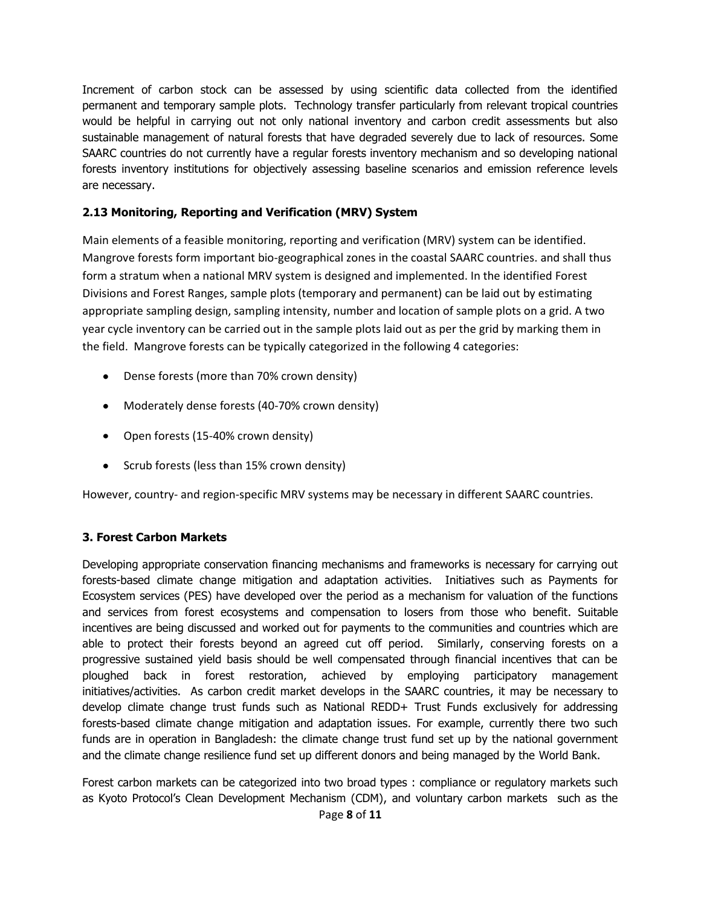Increment of carbon stock can be assessed by using scientific data collected from the identified permanent and temporary sample plots. Technology transfer particularly from relevant tropical countries would be helpful in carrying out not only national inventory and carbon credit assessments but also sustainable management of natural forests that have degraded severely due to lack of resources. Some SAARC countries do not currently have a regular forests inventory mechanism and so developing national forests inventory institutions for objectively assessing baseline scenarios and emission reference levels are necessary.

### **2.13 Monitoring, Reporting and Verification (MRV) System**

Main elements of a feasible monitoring, reporting and verification (MRV) system can be identified. Mangrove forests form important bio-geographical zones in the coastal SAARC countries. and shall thus form a stratum when a national MRV system is designed and implemented. In the identified Forest Divisions and Forest Ranges, sample plots (temporary and permanent) can be laid out by estimating appropriate sampling design, sampling intensity, number and location of sample plots on a grid. A two year cycle inventory can be carried out in the sample plots laid out as per the grid by marking them in the field. Mangrove forests can be typically categorized in the following 4 categories:

- Dense forests (more than 70% crown density)
- Moderately dense forests (40-70% crown density)
- Open forests (15-40% crown density)
- Scrub forests (less than 15% crown density)

However, country- and region-specific MRV systems may be necessary in different SAARC countries.

#### **3. Forest Carbon Markets**

Developing appropriate conservation financing mechanisms and frameworks is necessary for carrying out forests-based climate change mitigation and adaptation activities. Initiatives such as Payments for Ecosystem services (PES) have developed over the period as a mechanism for valuation of the functions and services from forest ecosystems and compensation to losers from those who benefit. Suitable incentives are being discussed and worked out for payments to the communities and countries which are able to protect their forests beyond an agreed cut off period. Similarly, conserving forests on a progressive sustained yield basis should be well compensated through financial incentives that can be ploughed back in forest restoration, achieved by employing participatory management initiatives/activities. As carbon credit market develops in the SAARC countries, it may be necessary to develop climate change trust funds such as National REDD+ Trust Funds exclusively for addressing forests-based climate change mitigation and adaptation issues. For example, currently there two such funds are in operation in Bangladesh: the climate change trust fund set up by the national government and the climate change resilience fund set up different donors and being managed by the World Bank.

Forest carbon markets can be categorized into two broad types : compliance or regulatory markets such as Kyoto Protocol's Clean Development Mechanism (CDM), and voluntary carbon markets such as the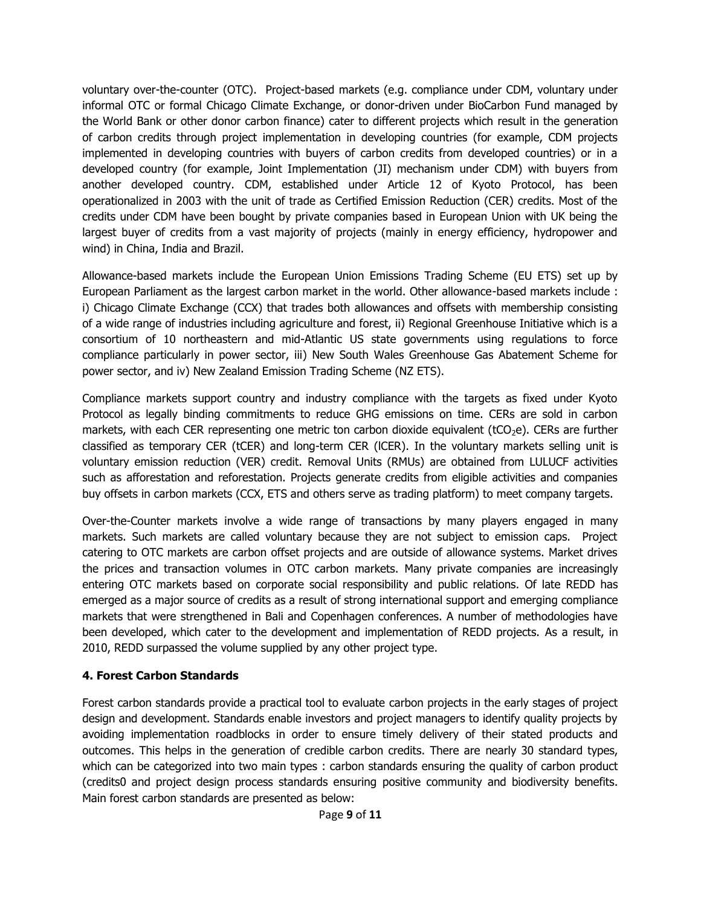voluntary over-the-counter (OTC). Project-based markets (e.g. compliance under CDM, voluntary under informal OTC or formal Chicago Climate Exchange, or donor-driven under BioCarbon Fund managed by the World Bank or other donor carbon finance) cater to different projects which result in the generation of carbon credits through project implementation in developing countries (for example, CDM projects implemented in developing countries with buyers of carbon credits from developed countries) or in a developed country (for example, Joint Implementation (JI) mechanism under CDM) with buyers from another developed country. CDM, established under Article 12 of Kyoto Protocol, has been operationalized in 2003 with the unit of trade as Certified Emission Reduction (CER) credits. Most of the credits under CDM have been bought by private companies based in European Union with UK being the largest buyer of credits from a vast majority of projects (mainly in energy efficiency, hydropower and wind) in China, India and Brazil.

Allowance-based markets include the European Union Emissions Trading Scheme (EU ETS) set up by European Parliament as the largest carbon market in the world. Other allowance-based markets include : i) Chicago Climate Exchange (CCX) that trades both allowances and offsets with membership consisting of a wide range of industries including agriculture and forest, ii) Regional Greenhouse Initiative which is a consortium of 10 northeastern and mid-Atlantic US state governments using regulations to force compliance particularly in power sector, iii) New South Wales Greenhouse Gas Abatement Scheme for power sector, and iv) New Zealand Emission Trading Scheme (NZ ETS).

Compliance markets support country and industry compliance with the targets as fixed under Kyoto Protocol as legally binding commitments to reduce GHG emissions on time. CERs are sold in carbon markets, with each CER representing one metric ton carbon dioxide equivalent ( $tCO<sub>2</sub>e$ ). CERs are further classified as temporary CER (tCER) and long-term CER (lCER). In the voluntary markets selling unit is voluntary emission reduction (VER) credit. Removal Units (RMUs) are obtained from LULUCF activities such as afforestation and reforestation. Projects generate credits from eligible activities and companies buy offsets in carbon markets (CCX, ETS and others serve as trading platform) to meet company targets.

Over-the-Counter markets involve a wide range of transactions by many players engaged in many markets. Such markets are called voluntary because they are not subject to emission caps. Project catering to OTC markets are carbon offset projects and are outside of allowance systems. Market drives the prices and transaction volumes in OTC carbon markets. Many private companies are increasingly entering OTC markets based on corporate social responsibility and public relations. Of late REDD has emerged as a major source of credits as a result of strong international support and emerging compliance markets that were strengthened in Bali and Copenhagen conferences. A number of methodologies have been developed, which cater to the development and implementation of REDD projects. As a result, in 2010, REDD surpassed the volume supplied by any other project type.

## **4. Forest Carbon Standards**

Forest carbon standards provide a practical tool to evaluate carbon projects in the early stages of project design and development. Standards enable investors and project managers to identify quality projects by avoiding implementation roadblocks in order to ensure timely delivery of their stated products and outcomes. This helps in the generation of credible carbon credits. There are nearly 30 standard types, which can be categorized into two main types : carbon standards ensuring the quality of carbon product (credits0 and project design process standards ensuring positive community and biodiversity benefits. Main forest carbon standards are presented as below: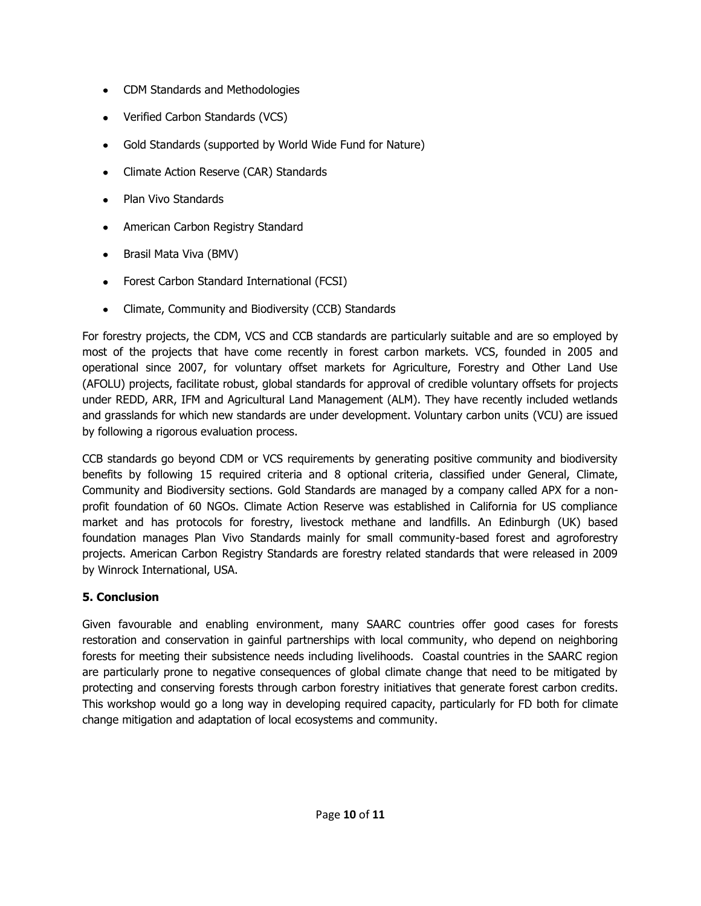- CDM Standards and Methodologies
- Verified Carbon Standards (VCS)
- Gold Standards (supported by World Wide Fund for Nature)
- Climate Action Reserve (CAR) Standards
- Plan Vivo Standards  $\bullet$
- American Carbon Registry Standard
- Brasil Mata Viva (BMV)
- Forest Carbon Standard International (FCSI)
- Climate, Community and Biodiversity (CCB) Standards

For forestry projects, the CDM, VCS and CCB standards are particularly suitable and are so employed by most of the projects that have come recently in forest carbon markets. VCS, founded in 2005 and operational since 2007, for voluntary offset markets for Agriculture, Forestry and Other Land Use (AFOLU) projects, facilitate robust, global standards for approval of credible voluntary offsets for projects under REDD, ARR, IFM and Agricultural Land Management (ALM). They have recently included wetlands and grasslands for which new standards are under development. Voluntary carbon units (VCU) are issued by following a rigorous evaluation process.

CCB standards go beyond CDM or VCS requirements by generating positive community and biodiversity benefits by following 15 required criteria and 8 optional criteria, classified under General, Climate, Community and Biodiversity sections. Gold Standards are managed by a company called APX for a nonprofit foundation of 60 NGOs. Climate Action Reserve was established in California for US compliance market and has protocols for forestry, livestock methane and landfills. An Edinburgh (UK) based foundation manages Plan Vivo Standards mainly for small community-based forest and agroforestry projects. American Carbon Registry Standards are forestry related standards that were released in 2009 by Winrock International, USA.

## **5. Conclusion**

Given favourable and enabling environment, many SAARC countries offer good cases for forests restoration and conservation in gainful partnerships with local community, who depend on neighboring forests for meeting their subsistence needs including livelihoods. Coastal countries in the SAARC region are particularly prone to negative consequences of global climate change that need to be mitigated by protecting and conserving forests through carbon forestry initiatives that generate forest carbon credits. This workshop would go a long way in developing required capacity, particularly for FD both for climate change mitigation and adaptation of local ecosystems and community.